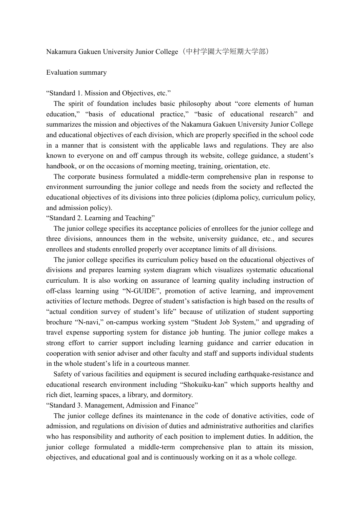## Evaluation summary

## "Standard 1. Mission and Objectives, etc."

The spirit of foundation includes basic philosophy about "core elements of human education," "basis of educational practice," "basic of educational research" and summarizes the mission and objectives of the Nakamura Gakuen University Junior College and educational objectives of each division, which are properly specified in the school code in a manner that is consistent with the applicable laws and regulations. They are also known to everyone on and off campus through its website, college guidance, a student's handbook, or on the occasions of morning meeting, training, orientation, etc.

The corporate business formulated a middle-term comprehensive plan in response to environment surrounding the junior college and needs from the society and reflected the educational objectives of its divisions into three policies (diploma policy, curriculum policy, and admission policy).

"Standard 2. Learning and Teaching"

The junior college specifies its acceptance policies of enrollees for the junior college and three divisions, announces them in the website, university guidance, etc., and secures enrollees and students enrolled properly over acceptance limits of all divisions.

The junior college specifies its curriculum policy based on the educational objectives of divisions and prepares learning system diagram which visualizes systematic educational curriculum. It is also working on assurance of learning quality including instruction of off-class learning using "N-GUIDE", promotion of active learning, and improvement activities of lecture methods. Degree of student's satisfaction is high based on the results of "actual condition survey of student's life" because of utilization of student supporting brochure "N-navi," on-campus working system "Student Job System," and upgrading of travel expense supporting system for distance job hunting. The junior college makes a strong effort to carrier support including learning guidance and carrier education in cooperation with senior adviser and other faculty and staff and supports individual students in the whole student's life in a courteous manner.

Safety of various facilities and equipment is secured including earthquake-resistance and educational research environment including "Shokuiku-kan" which supports healthy and rich diet, learning spaces, a library, and dormitory.

"Standard 3. Management, Admission and Finance"

The junior college defines its maintenance in the code of donative activities, code of admission, and regulations on division of duties and administrative authorities and clarifies who has responsibility and authority of each position to implement duties. In addition, the junior college formulated a middle-term comprehensive plan to attain its mission, objectives, and educational goal and is continuously working on it as a whole college.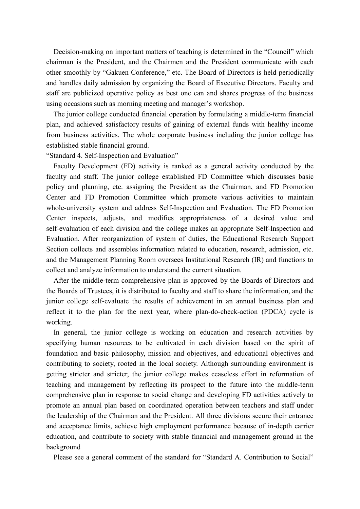Decision-making on important matters of teaching is determined in the "Council" which chairman is the President, and the Chairmen and the President communicate with each other smoothly by "Gakuen Conference," etc. The Board of Directors is held periodically and handles daily admission by organizing the Board of Executive Directors. Faculty and staff are publicized operative policy as best one can and shares progress of the business using occasions such as morning meeting and manager's workshop.

The junior college conducted financial operation by formulating a middle-term financial plan, and achieved satisfactory results of gaining of external funds with healthy income from business activities. The whole corporate business including the junior college has established stable financial ground.

"Standard 4. Self-Inspection and Evaluation"

Faculty Development (FD) activity is ranked as a general activity conducted by the faculty and staff. The junior college established FD Committee which discusses basic policy and planning, etc. assigning the President as the Chairman, and FD Promotion Center and FD Promotion Committee which promote various activities to maintain whole-university system and address Self-Inspection and Evaluation. The FD Promotion Center inspects, adjusts, and modifies appropriateness of a desired value and self-evaluation of each division and the college makes an appropriate Self-Inspection and Evaluation. After reorganization of system of duties, the Educational Research Support Section collects and assembles information related to education, research, admission, etc. and the Management Planning Room oversees Institutional Research (IR) and functions to collect and analyze information to understand the current situation.

After the middle-term comprehensive plan is approved by the Boards of Directors and the Boards of Trustees, it is distributed to faculty and staff to share the information, and the junior college self-evaluate the results of achievement in an annual business plan and reflect it to the plan for the next year, where plan-do-check-action (PDCA) cycle is working.

In general, the junior college is working on education and research activities by specifying human resources to be cultivated in each division based on the spirit of foundation and basic philosophy, mission and objectives, and educational objectives and contributing to society, rooted in the local society. Although surrounding environment is getting stricter and stricter, the junior college makes ceaseless effort in reformation of teaching and management by reflecting its prospect to the future into the middle-term comprehensive plan in response to social change and developing FD activities actively to promote an annual plan based on coordinated operation between teachers and staff under the leadership of the Chairman and the President. All three divisions secure their entrance and acceptance limits, achieve high employment performance because of in-depth carrier education, and contribute to society with stable financial and management ground in the background

Please see a general comment of the standard for "Standard A. Contribution to Social"